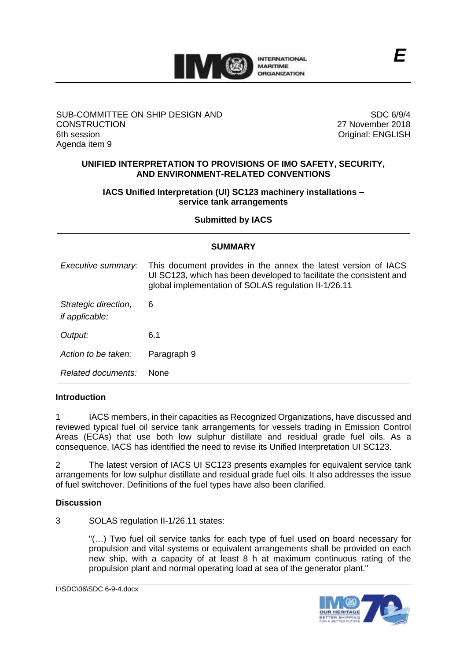

## SUB-COMMITTEE ON SHIP DESIGN AND **CONSTRUCTION** 6th session Agenda item 9

SDC 6/9/4 27 November 2018 Original: ENGLISH

## **UNIFIED INTERPRETATION TO PROVISIONS OF IMO SAFETY, SECURITY, AND ENVIRONMENT-RELATED CONVENTIONS**

## **IACS Unified Interpretation (UI) SC123 machinery installations – service tank arrangements**

## **Submitted by IACS**

| <b>SUMMARY</b>                                |                                                                                                                                                                                               |  |  |  |
|-----------------------------------------------|-----------------------------------------------------------------------------------------------------------------------------------------------------------------------------------------------|--|--|--|
| Executive summary:                            | This document provides in the annex the latest version of IACS<br>UI SC123, which has been developed to facilitate the consistent and<br>global implementation of SOLAS regulation II-1/26.11 |  |  |  |
| Strategic direction,<br><i>if applicable:</i> | 6                                                                                                                                                                                             |  |  |  |
| Output:                                       | 6.1                                                                                                                                                                                           |  |  |  |
| Action to be taken:                           | Paragraph 9                                                                                                                                                                                   |  |  |  |
| Related documents:                            | <b>None</b>                                                                                                                                                                                   |  |  |  |

#### **Introduction**

1 IACS members, in their capacities as Recognized Organizations, have discussed and reviewed typical fuel oil service tank arrangements for vessels trading in Emission Control Areas (ECAs) that use both low sulphur distillate and residual grade fuel oils. As a consequence, IACS has identified the need to revise its Unified Interpretation UI SC123.

2 The latest version of IACS UI SC123 presents examples for equivalent service tank arrangements for low sulphur distillate and residual grade fuel oils. It also addresses the issue of fuel switchover. Definitions of the fuel types have also been clarified.

## **Discussion**

3 SOLAS regulation II-1/26.11 states:

"(…) Two fuel oil service tanks for each type of fuel used on board necessary for propulsion and vital systems or equivalent arrangements shall be provided on each new ship, with a capacity of at least 8 h at maximum continuous rating of the propulsion plant and normal operating load at sea of the generator plant."

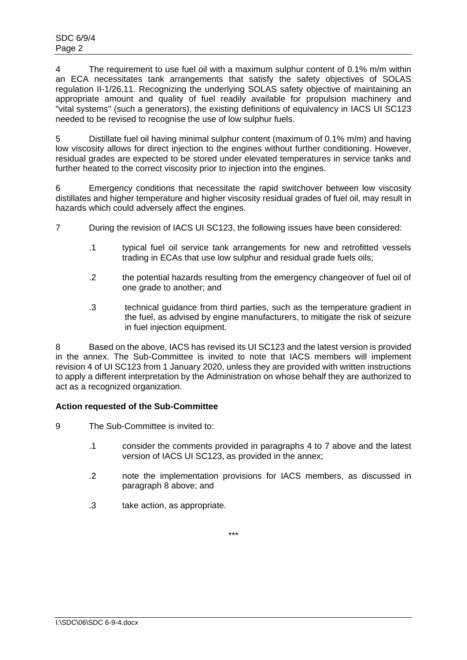4 The requirement to use fuel oil with a maximum sulphur content of 0.1% m/m within an ECA necessitates tank arrangements that satisfy the safety objectives of SOLAS regulation II-1/26.11. Recognizing the underlying SOLAS safety objective of maintaining an appropriate amount and quality of fuel readily available for propulsion machinery and "vital systems" (such a generators), the existing definitions of equivalency in IACS UI SC123 needed to be revised to recognise the use of low sulphur fuels.

5 Distillate fuel oil having minimal sulphur content (maximum of 0.1% m/m) and having low viscosity allows for direct injection to the engines without further conditioning. However, residual grades are expected to be stored under elevated temperatures in service tanks and further heated to the correct viscosity prior to injection into the engines.

6 Emergency conditions that necessitate the rapid switchover between low viscosity distillates and higher temperature and higher viscosity residual grades of fuel oil, may result in hazards which could adversely affect the engines.

- 7 During the revision of IACS UI SC123, the following issues have been considered:
	- .1 typical fuel oil service tank arrangements for new and retrofitted vessels trading in ECAs that use low sulphur and residual grade fuels oils;
	- .2 the potential hazards resulting from the emergency changeover of fuel oil of one grade to another; and
	- .3 technical guidance from third parties, such as the temperature gradient in the fuel, as advised by engine manufacturers, to mitigate the risk of seizure in fuel injection equipment.

8 Based on the above, IACS has revised its UI SC123 and the latest version is provided in the annex. The Sub-Committee is invited to note that IACS members will implement revision 4 of UI SC123 from 1 January 2020, unless they are provided with written instructions to apply a different interpretation by the Administration on whose behalf they are authorized to act as a recognized organization.

## **Action requested of the Sub-Committee**

- 9 The Sub-Committee is invited to:
	- .1 consider the comments provided in paragraphs 4 to 7 above and the latest version of IACS UI SC123, as provided in the annex;
	- .2 note the implementation provisions for IACS members, as discussed in paragraph 8 above; and
	- .3 take action, as appropriate.

\*\*\*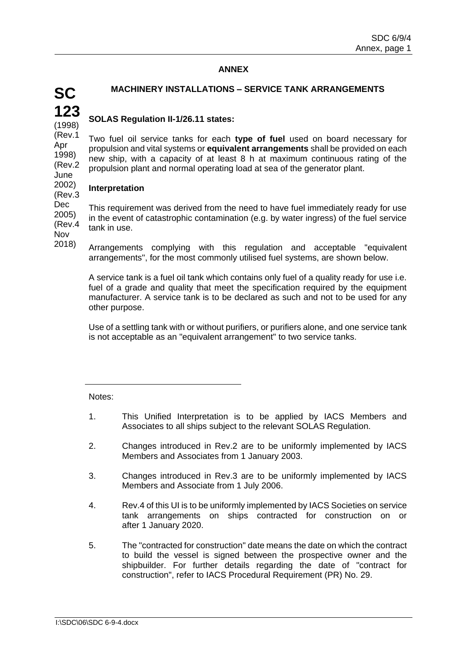# **ANNEX**

# **MACHINERY INSTALLATIONS – SERVICE TANK ARRANGEMENTS**

#### **123** (1998) **SOLAS Regulation II-1/26.11 states:**

(Rev.1 1998) (Rev.2 June Two fuel oil service tanks for each **type of fuel** used on board necessary for propulsion and vital systems or **equivalent arrangements** shall be provided on each new ship, with a capacity of at least 8 h at maximum continuous rating of the propulsion plant and normal operating load at sea of the generator plant.

#### 2002) (Rev.3 **Interpretation**

Dec 2005) (Rev.4 This requirement was derived from the need to have fuel immediately ready for use in the event of catastrophic contamination (e.g. by water ingress) of the fuel service tank in use.

Nov 2018)

**SC**

Apr

Arrangements complying with this regulation and acceptable "equivalent arrangements", for the most commonly utilised fuel systems, are shown below.

A service tank is a fuel oil tank which contains only fuel of a quality ready for use i.e. fuel of a grade and quality that meet the specification required by the equipment manufacturer. A service tank is to be declared as such and not to be used for any other purpose.

Use of a settling tank with or without purifiers, or purifiers alone, and one service tank is not acceptable as an "equivalent arrangement" to two service tanks.

#### Notes:

- 1. This Unified Interpretation is to be applied by IACS Members and Associates to all ships subject to the relevant SOLAS Regulation.
- 2. Changes introduced in Rev.2 are to be uniformly implemented by IACS Members and Associates from 1 January 2003.
- 3. Changes introduced in Rev.3 are to be uniformly implemented by IACS Members and Associate from 1 July 2006.
- 4. Rev.4 of this UI is to be uniformly implemented by IACS Societies on service tank arrangements on ships contracted for construction on or after 1 January 2020.
- 5. The "contracted for construction" date means the date on which the contract to build the vessel is signed between the prospective owner and the shipbuilder. For further details regarding the date of "contract for construction", refer to IACS Procedural Requirement (PR) No. 29.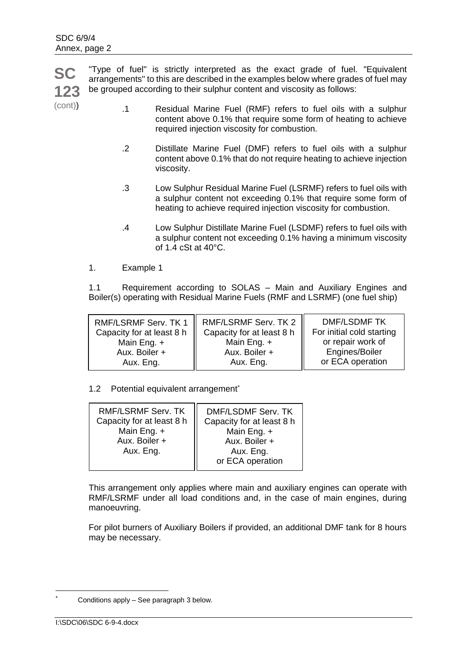**SC 123** "Type of fuel" is strictly interpreted as the exact grade of fuel. "Equivalent arrangements" to this are described in the examples below where grades of fuel may be grouped according to their sulphur content and viscosity as follows:

(cont))

- .1 Residual Marine Fuel (RMF) refers to fuel oils with a sulphur content above 0.1% that require some form of heating to achieve required injection viscosity for combustion.
- .2 Distillate Marine Fuel (DMF) refers to fuel oils with a sulphur content above 0.1% that do not require heating to achieve injection viscosity.
- .3 Low Sulphur Residual Marine Fuel (LSRMF) refers to fuel oils with a sulphur content not exceeding 0.1% that require some form of heating to achieve required injection viscosity for combustion.
- .4 Low Sulphur Distillate Marine Fuel (LSDMF) refers to fuel oils with a sulphur content not exceeding 0.1% having a minimum viscosity of 1.4 cSt at 40°C.
- 1. Example 1

1.1 Requirement according to SOLAS – Main and Auxiliary Engines and Boiler(s) operating with Residual Marine Fuels (RMF and LSRMF) (one fuel ship)

1.2 Potential equivalent arrangement<sup>\*</sup>

| or ECA operation | RMF/LSRMF Serv. TK<br>Capacity for at least 8 h<br>Main Eng. +<br>Aux. Boiler +<br>Aux. Eng. | DMF/LSDMF Serv. TK<br>Capacity for at least 8 h<br>Main Eng. +<br>Aux. Boiler +<br>Aux. Eng. |
|------------------|----------------------------------------------------------------------------------------------|----------------------------------------------------------------------------------------------|
|------------------|----------------------------------------------------------------------------------------------|----------------------------------------------------------------------------------------------|

This arrangement only applies where main and auxiliary engines can operate with RMF/LSRMF under all load conditions and, in the case of main engines, during manoeuvring.

For pilot burners of Auxiliary Boilers if provided, an additional DMF tank for 8 hours may be necessary.

-

Conditions apply – See paragraph 3 below.